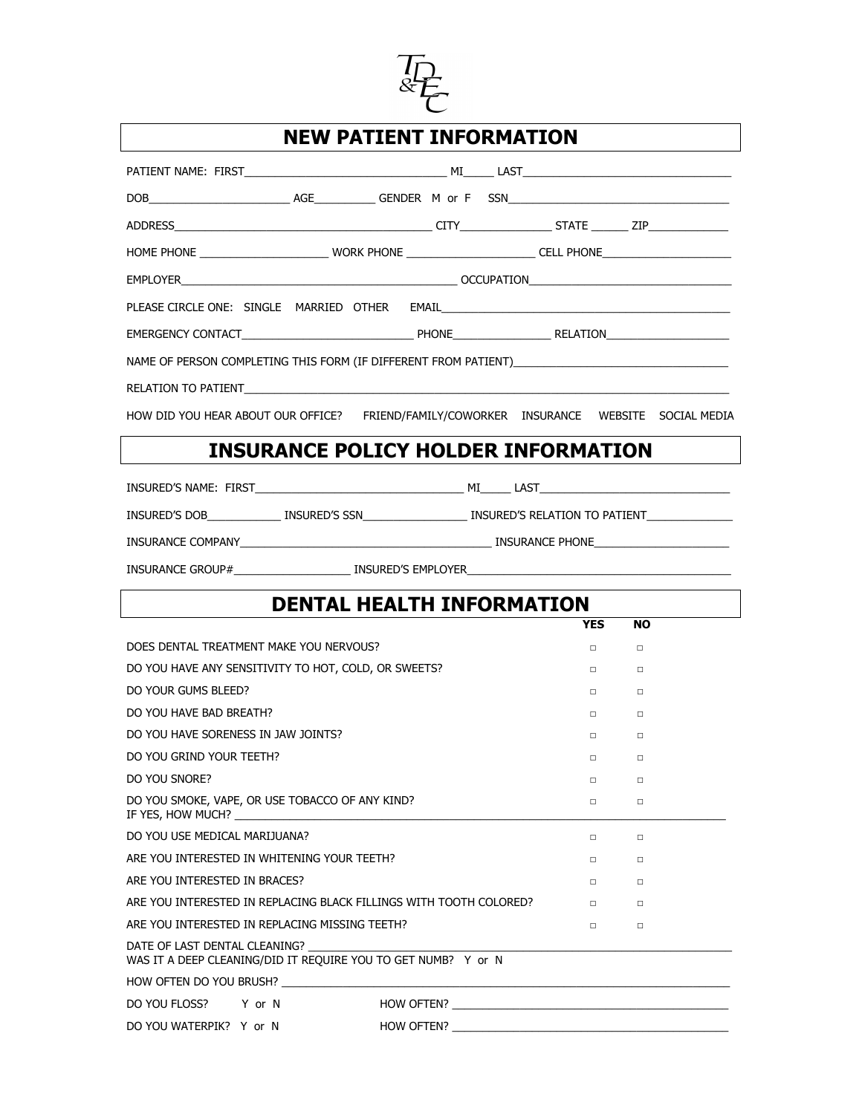

## **NEW PATIENT INFORMATION**

| HOME PHONE ____________________________WORK PHONE _________________________CELL PHONE_________________________ |                                            |  |  |        |                   |           |  |  |
|----------------------------------------------------------------------------------------------------------------|--------------------------------------------|--|--|--------|-------------------|-----------|--|--|
|                                                                                                                |                                            |  |  |        |                   |           |  |  |
|                                                                                                                |                                            |  |  |        |                   |           |  |  |
|                                                                                                                |                                            |  |  |        |                   |           |  |  |
|                                                                                                                |                                            |  |  |        |                   |           |  |  |
|                                                                                                                |                                            |  |  |        |                   |           |  |  |
| HOW DID YOU HEAR ABOUT OUR OFFICE? FRIEND/FAMILY/COWORKER INSURANCE WEBSITE SOCIAL MEDIA                       |                                            |  |  |        |                   |           |  |  |
|                                                                                                                | <b>INSURANCE POLICY HOLDER INFORMATION</b> |  |  |        |                   |           |  |  |
|                                                                                                                |                                            |  |  |        |                   |           |  |  |
| INSURED'S DOB_______________ INSURED'S SSN____________________________INSURED'S RELATION TO PATIENT___________ |                                            |  |  |        |                   |           |  |  |
|                                                                                                                |                                            |  |  |        |                   |           |  |  |
|                                                                                                                |                                            |  |  |        |                   |           |  |  |
|                                                                                                                |                                            |  |  |        |                   |           |  |  |
| <b>DENTAL HEALTH INFORMATION</b>                                                                               |                                            |  |  |        |                   |           |  |  |
|                                                                                                                |                                            |  |  |        | <b>YES</b>        | <b>NO</b> |  |  |
| DOES DENTAL TREATMENT MAKE YOU NERVOUS?                                                                        |                                            |  |  |        | $\Box$            | $\Box$    |  |  |
| DO YOU HAVE ANY SENSITIVITY TO HOT, COLD, OR SWEETS?                                                           |                                            |  |  |        | $\Box$ and $\Box$ | $\Box$    |  |  |
| DO YOUR GUMS BLEED?                                                                                            |                                            |  |  |        | $\Box$            | $\Box$    |  |  |
| DO YOU HAVE BAD BREATH?                                                                                        |                                            |  |  |        | $\Box$            | $\Box$    |  |  |
| DO YOU HAVE SORENESS IN JAW JOINTS?                                                                            |                                            |  |  |        | $\Box$            | $\Box$    |  |  |
| DO YOU GRIND YOUR TEETH?                                                                                       |                                            |  |  |        | $\Box$            | $\Box$    |  |  |
| DO YOU SNORE?                                                                                                  |                                            |  |  |        | $\Box$            | $\Box$    |  |  |
| DO YOU SMOKE, VAPE, OR USE TOBACCO OF ANY KIND?<br>IF YES, HOW MUCH?                                           |                                            |  |  |        | □                 | $\Box$    |  |  |
| DO YOU USE MEDICAL MARIJUANA?                                                                                  |                                            |  |  |        | □                 | $\Box$    |  |  |
| ARE YOU INTERESTED IN WHITENING YOUR TEETH?                                                                    |                                            |  |  |        | $\Box$            | $\Box$    |  |  |
| ARE YOU INTERESTED IN BRACES?                                                                                  |                                            |  |  | □      | $\Box$            |           |  |  |
| ARE YOU INTERESTED IN REPLACING BLACK FILLINGS WITH TOOTH COLORED?                                             |                                            |  |  | $\Box$ | $\Box$            |           |  |  |
| ARE YOU INTERESTED IN REPLACING MISSING TEETH?                                                                 |                                            |  |  |        | □                 | $\Box$    |  |  |

DATE OF LAST DENTAL CLEANING? WAS IT A DEEP CLEANING/DID IT REQUIRE YOU TO GET NUMB? Y or N

HOW OFTEN DO YOU BRUSH? \_\_\_\_\_\_\_

DO YOU FLOSS? Y or N HOW OFTEN? Notice that the set of the set of the set of the set of the set of the set of t

DO YOU WATERPIK? Y or N HOW OFTEN? \_\_\_\_\_\_\_\_\_\_\_\_\_\_\_\_\_\_\_\_\_\_\_\_\_\_\_\_\_\_\_\_\_\_\_\_\_\_\_\_\_\_\_\_\_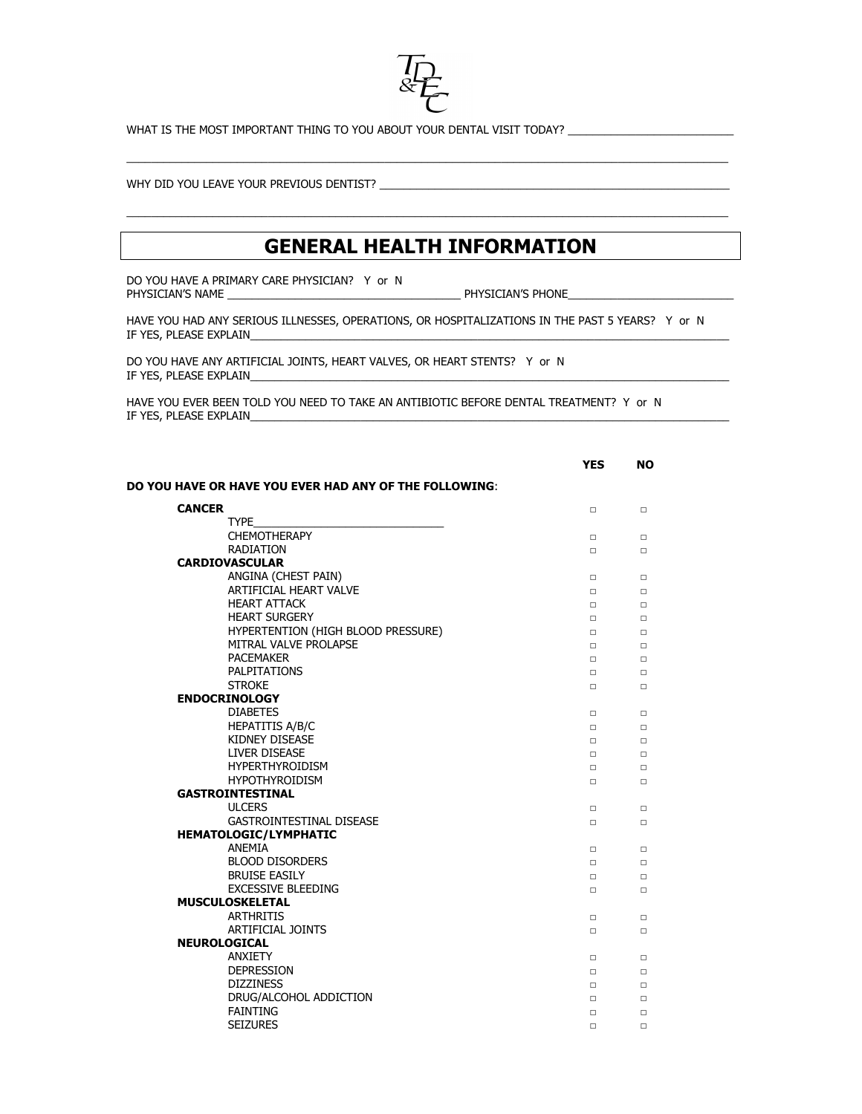

WHAT IS THE MOST IMPORTANT THING TO YOU ABOUT YOUR DENTAL VISIT TODAY?

WHY DID YOU LEAVE YOUR PREVIOUS DENTIST? \_\_\_\_\_\_\_\_\_\_\_\_\_\_\_\_\_\_\_\_\_\_\_\_\_\_\_\_\_\_\_\_\_\_\_\_\_\_\_\_\_\_\_\_\_\_\_\_\_\_\_\_\_\_\_\_\_

## **GENERAL HEALTH INFORMATION**

 $\_$  , and the state of the state of the state of the state of the state of the state of the state of the state of the state of the state of the state of the state of the state of the state of the state of the state of the

 $\_$  , and the state of the state of the state of the state of the state of the state of the state of the state of the state of the state of the state of the state of the state of the state of the state of the state of the

DO YOU HAVE A PRIMARY CARE PHYSICIAN? Y or N PHYSICIAN'S NAME

PHYSICIAN'S NAME \_\_\_\_\_\_\_\_\_\_\_\_\_\_\_\_\_\_\_\_\_\_\_\_\_\_\_\_\_\_\_\_\_\_\_\_\_\_ PHYSICIAN'S PHONE\_\_\_\_\_\_\_\_\_\_\_\_\_\_\_\_\_\_\_\_\_\_\_\_\_\_\_

HAVE YOU HAD ANY SERIOUS ILLNESSES, OPERATIONS, OR HOSPITALIZATIONS IN THE PAST 5 YEARS? Y or N IF YES, PLEASE EXPLAIN

DO YOU HAVE ANY ARTIFICIAL JOINTS, HEART VALVES, OR HEART STENTS? Y or N IF YES, PLEASE EXPLAIN

HAVE YOU EVER BEEN TOLD YOU NEED TO TAKE AN ANTIBIOTIC BEFORE DENTAL TREATMENT? Y or N IF YES, PLEASE EXPLAIN\_

|                                                        | <b>YES</b> | <b>NO</b> |
|--------------------------------------------------------|------------|-----------|
| DO YOU HAVE OR HAVE YOU EVER HAD ANY OF THE FOLLOWING: |            |           |
| <b>CANCER</b>                                          | $\Box$     | $\Box$    |
| <b>TYPE</b>                                            |            |           |
| <b>CHEMOTHERAPY</b>                                    | □          | □         |
| <b>RADIATION</b>                                       | п          | п         |
| <b>CARDIOVASCULAR</b>                                  |            |           |
| ANGINA (CHEST PAIN)                                    | $\Box$     | $\Box$    |
| ARTIFICIAL HEART VALVE                                 | □          | □         |
| <b>HEART ATTACK</b>                                    | $\Box$     | $\Box$    |
| <b>HEART SURGERY</b>                                   | $\Box$     | $\Box$    |
| HYPERTENTION (HIGH BLOOD PRESSURE)                     | $\Box$     | $\Box$    |
| MITRAL VALVE PROLAPSE                                  | □          | □         |
| <b>PACEMAKER</b>                                       | $\Box$     | $\Box$    |
| <b>PALPITATIONS</b>                                    | $\Box$     | $\Box$    |
| <b>STROKE</b>                                          | $\Box$     | $\Box$    |
| <b>ENDOCRINOLOGY</b>                                   |            |           |
| <b>DIABETES</b>                                        | $\Box$     | $\Box$    |
| <b>HEPATITIS A/B/C</b>                                 | $\Box$     | п         |
| <b>KIDNEY DISEASE</b>                                  | $\Box$     |           |
| <b>LIVER DISEASE</b>                                   | □          | □         |
| <b>HYPERTHYROIDISM</b>                                 | $\Box$     | $\Box$    |
| <b>HYPOTHYROIDISM</b>                                  | $\Box$     | П         |
| <b>GASTROINTESTINAL</b>                                |            |           |
| <b>ULCERS</b>                                          | $\Box$     | $\Box$    |
| <b>GASTROINTESTINAL DISEASE</b>                        | $\Box$     | $\Box$    |
| <b>HEMATOLOGIC/LYMPHATIC</b>                           |            |           |
| ANEMIA                                                 | $\Box$     |           |
| <b>BLOOD DISORDERS</b>                                 | □          | $\Box$    |
| <b>BRUISE EASILY</b>                                   | $\Box$     |           |
| <b>EXCESSIVE BLEEDING</b>                              | п          | П         |
| <b>MUSCULOSKELETAL</b>                                 |            |           |
| <b>ARTHRITIS</b>                                       | $\Box$     | $\Box$    |
| <b>ARTIFICIAL JOINTS</b>                               | $\Box$     | $\Box$    |
| <b>NEUROLOGICAL</b>                                    |            |           |
| <b>ANXIETY</b>                                         | $\Box$     | $\Box$    |
| <b>DEPRESSION</b>                                      | $\Box$     | $\Box$    |
| <b>DIZZINESS</b>                                       | $\Box$     | $\Box$    |
| DRUG/ALCOHOL ADDICTION                                 | □          | □         |
| <b>FAINTING</b>                                        | $\Box$     | $\Box$    |
| <b>SEIZURES</b>                                        | $\Box$     | п         |